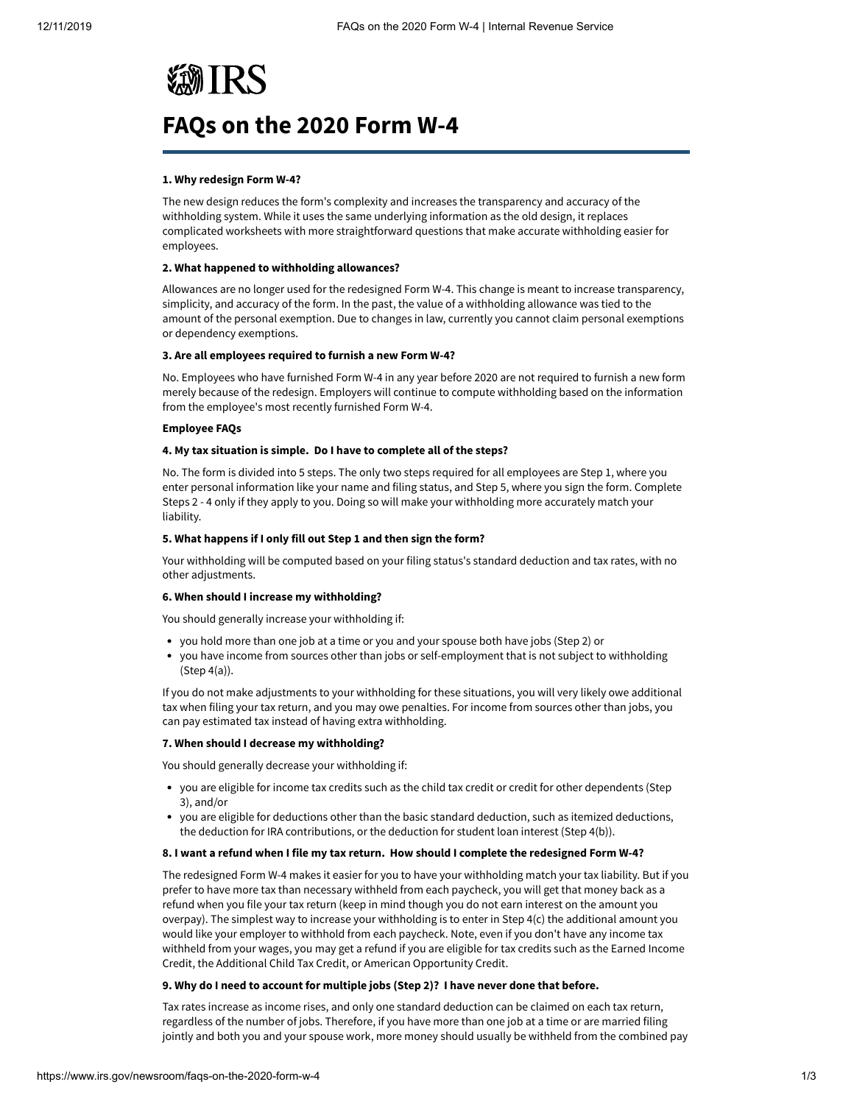# **WIRS**

# **FAQs on the 2020 Form W-4**

# **1. Why redesign Form W-4?**

The new design reduces the form's complexity and increases the transparency and accuracy of the withholding system. While it uses the same underlying information as the old design, it replaces complicated worksheets with more straightforward questions that make accurate withholding easier for employees.

# **2. What happened to withholding allowances?**

Allowances are no longer used for the redesigned Form W-4. This change is meant to increase transparency, simplicity, and accuracy of the form. In the past, the value of a withholding allowance was tied to the amount of the personal exemption. Due to changes in law, currently you cannot claim personal exemptions or dependency exemptions.

# **3. Are all employees required to furnish a new Form W-4?**

No. Employees who have furnished Form W-4 in any year before 2020 are not required to furnish a new form merely because of the redesign. Employers will continue to compute withholding based on the information from the employee's most recently furnished Form W-4.

# **Employee FAQs**

# **4. My tax situation is simple. Do I have to complete all of the steps?**

No. The form is divided into 5 steps. The only two steps required for all employees are Step 1, where you enter personal information like your name and filing status, and Step 5, where you sign the form. Complete Steps 2 - 4 only if they apply to you. Doing so will make your withholding more accurately match your liability.

# **5. What happens if I only fill out Step 1 and then sign the form?**

Your withholding will be computed based on your filing status's standard deduction and tax rates, with no other adjustments.

# **6. When should I increase my withholding?**

You should generally increase your withholding if:

- you hold more than one job at a time or you and your spouse both have jobs (Step 2) or
- you have income from sources other than jobs or self-employment that is not subject to withholding (Step 4(a)).

If you do not make adjustments to your withholding for these situations, you will very likely owe additional tax when filing your tax return, and you may owe penalties. For income from sources other than jobs, you can pay estimated tax instead of having extra withholding.

# **7. When should I decrease my withholding?**

You should generally decrease your withholding if:

- you are eligible for income tax credits such as the child tax credit or credit for other dependents (Step 3), and/or
- you are eligible for deductions other than the basic standard deduction, such as itemized deductions, the deduction for IRA contributions, or the deduction for student loan interest (Step 4(b)).

# **8. I want a refund when I file my tax return. How should I complete the redesigned Form W-4?**

The redesigned Form W-4 makes it easier for you to have your withholding match your tax liability. But if you prefer to have more tax than necessary withheld from each paycheck, you will get that money back as a refund when you file your tax return (keep in mind though you do not earn interest on the amount you overpay). The simplest way to increase your withholding is to enter in Step 4(c) the additional amount you would like your employer to withhold from each paycheck. Note, even if you don't have any income tax withheld from your wages, you may get a refund if you are eligible for tax credits such as the Earned Income Credit, the Additional Child Tax Credit, or American Opportunity Credit.

# **9. Why do I need to account for multiple jobs (Step 2)? I have never done that before.**

Tax rates increase as income rises, and only one standard deduction can be claimed on each tax return, regardless of the number of jobs. Therefore, if you have more than one job at a time or are married filing jointly and both you and your spouse work, more money should usually be withheld from the combined pay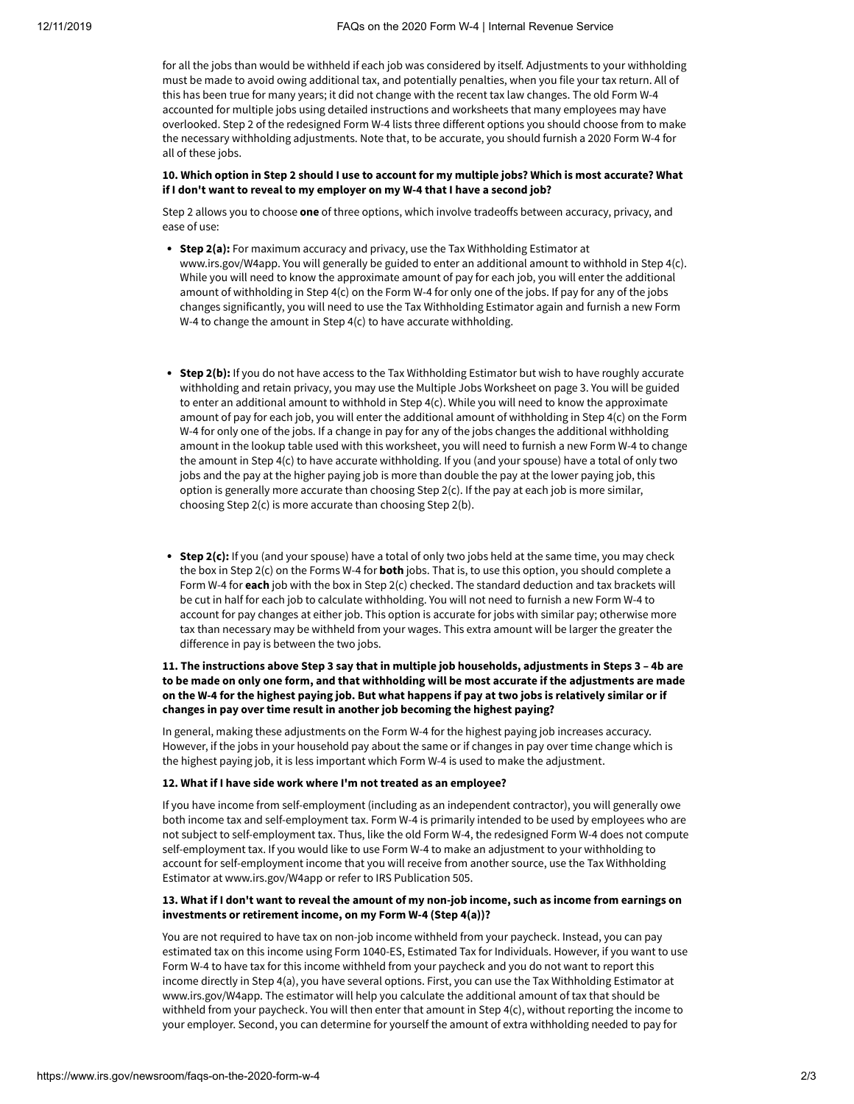for all the jobs than would be withheld if each job was considered by itself. Adjustments to your withholding must be made to avoid owing additional tax, and potentially penalties, when you file your tax return. All of this has been true for many years; it did not change with the recent tax law changes. The old Form W-4 accounted for multiple jobs using detailed instructions and worksheets that many employees may have overlooked. Step 2 of the redesigned Form W-4 lists three different options you should choose from to make the necessary withholding adjustments. Note that, to be accurate, you should furnish a 2020 Form W-4 for all of these jobs.

#### **10. Which option in Step 2 should I use to account for my multiple jobs? Which is most accurate? What if I don't want to reveal to my employer on my W-4 that I have a second job?**

Step 2 allows you to choose **one** of three options, which involve tradeoffs between accuracy, privacy, and ease of use:

- **Step 2(a):** For maximum accuracy and privacy, use the Tax Withholding Estimator at www.irs.gov/W4app. You will generally be guided to enter an additional amount to withhold in Step 4(c). While you will need to know the approximate amount of pay for each job, you will enter the additional amount of withholding in Step 4(c) on the Form W-4 for only one of the jobs. If pay for any of the jobs changes significantly, you will need to use the Tax Withholding Estimator again and furnish a new Form W-4 to change the amount in Step 4(c) to have accurate withholding.
- **Step 2(b):** If you do not have access to the Tax Withholding Estimator but wish to have roughly accurate withholding and retain privacy, you may use the Multiple Jobs Worksheet on page 3. You will be guided to enter an additional amount to withhold in Step 4(c). While you will need to know the approximate amount of pay for each job, you will enter the additional amount of withholding in Step 4(c) on the Form W-4 for only one of the jobs. If a change in pay for any of the jobs changes the additional withholding amount in the lookup table used with this worksheet, you will need to furnish a new Form W-4 to change the amount in Step 4(c) to have accurate withholding. If you (and your spouse) have a total of only two jobs and the pay at the higher paying job is more than double the pay at the lower paying job, this option is generally more accurate than choosing Step 2(c). If the pay at each job is more similar, choosing Step 2(c) is more accurate than choosing Step 2(b).
- **Step 2(c):** If you (and your spouse) have a total of only two jobs held at the same time, you may check the box in Step 2(c) on the Forms W-4 for **both** jobs. That is, to use this option, you should complete a Form W-4 for **each** job with the box in Step 2(c) checked. The standard deduction and tax brackets will be cut in half for each job to calculate withholding. You will not need to furnish a new Form W-4 to account for pay changes at either job. This option is accurate for jobs with similar pay; otherwise more tax than necessary may be withheld from your wages. This extra amount will be larger the greater the difference in pay is between the two jobs.

# **11. The instructions above Step 3 say that in multiple job households, adjustments in Steps 3 – 4b are to be made on only one form, and that withholding will be most accurate if the adjustments are made on the W-4 for the highest paying job. But what happens if pay at two jobs is relatively similar or if changes in pay over time result in another job becoming the highest paying?**

In general, making these adjustments on the Form W-4 for the highest paying job increases accuracy. However, if the jobs in your household pay about the same or if changes in pay over time change which is the highest paying job, it is less important which Form W-4 is used to make the adjustment.

#### **12. What if I have side work where I'm not treated as an employee?**

If you have income from self-employment (including as an independent contractor), you will generally owe both income tax and self-employment tax. Form W-4 is primarily intended to be used by employees who are not subject to self-employment tax. Thus, like the old Form W-4, the redesigned Form W-4 does not compute self-employment tax. If you would like to use Form W-4 to make an adjustment to your withholding to account for self-employment income that you will receive from another source, use the Tax Withholding Estimator at www.irs.gov/W4app or refer to IRS Publication 505.

#### **13. What if I don't want to reveal the amount of my non-job income, such as income from earnings on investments or retirement income, on my Form W-4 (Step 4(a))?**

You are not required to have tax on non-job income withheld from your paycheck. Instead, you can pay estimated tax on this income using Form 1040-ES, Estimated Tax for Individuals. However, if you want to use Form W-4 to have tax for this income withheld from your paycheck and you do not want to report this income directly in Step 4(a), you have several options. First, you can use the Tax Withholding Estimator at www.irs.gov/W4app. The estimator will help you calculate the additional amount of tax that should be withheld from your paycheck. You will then enter that amount in Step 4(c), without reporting the income to your employer. Second, you can determine for yourself the amount of extra withholding needed to pay for